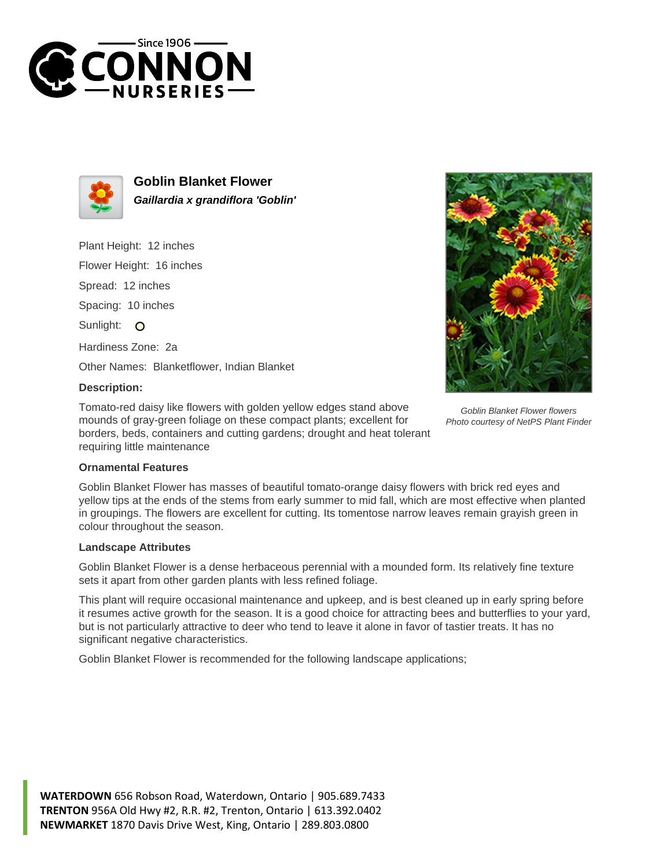



**Goblin Blanket Flower Gaillardia x grandiflora 'Goblin'**

Plant Height: 12 inches

Flower Height: 16 inches

Spread: 12 inches

Spacing: 10 inches

Sunlight: O

Hardiness Zone: 2a

Other Names: Blanketflower, Indian Blanket

## **Description:**

Tomato-red daisy like flowers with golden yellow edges stand above mounds of gray-green foliage on these compact plants; excellent for borders, beds, containers and cutting gardens; drought and heat tolerant requiring little maintenance



Goblin Blanket Flower flowers Photo courtesy of NetPS Plant Finder

## **Ornamental Features**

Goblin Blanket Flower has masses of beautiful tomato-orange daisy flowers with brick red eyes and yellow tips at the ends of the stems from early summer to mid fall, which are most effective when planted in groupings. The flowers are excellent for cutting. Its tomentose narrow leaves remain grayish green in colour throughout the season.

## **Landscape Attributes**

Goblin Blanket Flower is a dense herbaceous perennial with a mounded form. Its relatively fine texture sets it apart from other garden plants with less refined foliage.

This plant will require occasional maintenance and upkeep, and is best cleaned up in early spring before it resumes active growth for the season. It is a good choice for attracting bees and butterflies to your yard, but is not particularly attractive to deer who tend to leave it alone in favor of tastier treats. It has no significant negative characteristics.

Goblin Blanket Flower is recommended for the following landscape applications;

**WATERDOWN** 656 Robson Road, Waterdown, Ontario | 905.689.7433 **TRENTON** 956A Old Hwy #2, R.R. #2, Trenton, Ontario | 613.392.0402 **NEWMARKET** 1870 Davis Drive West, King, Ontario | 289.803.0800